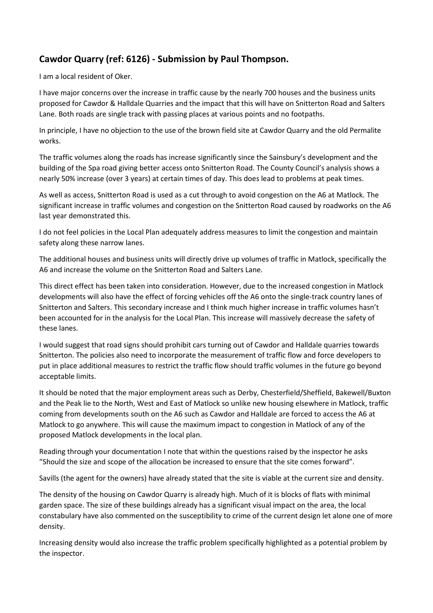## **Cawdor Quarry (ref: 6126) - Submission by Paul Thompson.**

I am a local resident of Oker.

I have major concerns over the increase in traffic cause by the nearly 700 houses and the business units proposed for Cawdor & Halldale Quarries and the impact that this will have on Snitterton Road and Salters Lane. Both roads are single track with passing places at various points and no footpaths.

In principle, I have no objection to the use of the brown field site at Cawdor Quarry and the old Permalite works.

The traffic volumes along the roads has increase significantly since the Sainsbury's development and the building of the Spa road giving better access onto Snitterton Road. The County Council's analysis shows a nearly 50% increase (over 3 years) at certain times of day. This does lead to problems at peak times.

As well as access, Snitterton Road is used as a cut through to avoid congestion on the A6 at Matlock. The significant increase in traffic volumes and congestion on the Snitterton Road caused by roadworks on the A6 last year demonstrated this.

I do not feel policies in the Local Plan adequately address measures to limit the congestion and maintain safety along these narrow lanes.

The additional houses and business units will directly drive up volumes of traffic in Matlock, specifically the A6 and increase the volume on the Snitterton Road and Salters Lane.

This direct effect has been taken into consideration. However, due to the increased congestion in Matlock developments will also have the effect of forcing vehicles off the A6 onto the single-track country lanes of Snitterton and Salters. This secondary increase and I think much higher increase in traffic volumes hasn't been accounted for in the analysis for the Local Plan. This increase will massively decrease the safety of these lanes.

I would suggest that road signs should prohibit cars turning out of Cawdor and Halldale quarries towards Snitterton. The policies also need to incorporate the measurement of traffic flow and force developers to put in place additional measures to restrict the traffic flow should traffic volumes in the future go beyond acceptable limits.

It should be noted that the major employment areas such as Derby, Chesterfield/Sheffield, Bakewell/Buxton and the Peak lie to the North, West and East of Matlock so unlike new housing elsewhere in Matlock, traffic coming from developments south on the A6 such as Cawdor and Halldale are forced to access the A6 at Matlock to go anywhere. This will cause the maximum impact to congestion in Matlock of any of the proposed Matlock developments in the local plan.

Reading through your documentation I note that within the questions raised by the inspector he asks "Should the size and scope of the allocation be increased to ensure that the site comes forward".

Savills (the agent for the owners) have already stated that the site is viable at the current size and density.

The density of the housing on Cawdor Quarry is already high. Much of it is blocks of flats with minimal garden space. The size of these buildings already has a significant visual impact on the area, the local constabulary have also commented on the susceptibility to crime of the current design let alone one of more density.

Increasing density would also increase the traffic problem specifically highlighted as a potential problem by the inspector.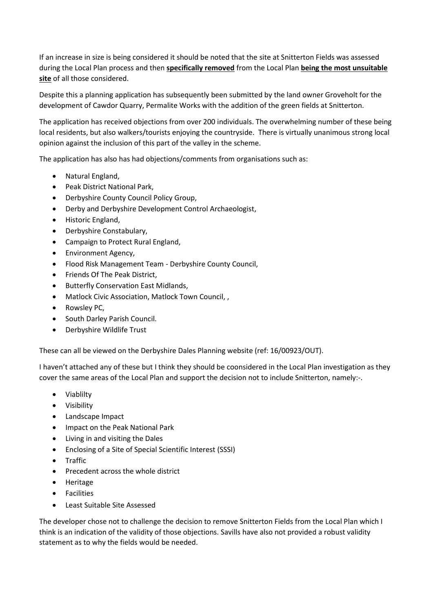If an increase in size is being considered it should be noted that the site at Snitterton Fields was assessed during the Local Plan process and then **specifically removed** from the Local Plan **being the most unsuitable site** of all those considered.

Despite this a planning application has subsequently been submitted by the land owner Groveholt for the development of Cawdor Quarry, Permalite Works with the addition of the green fields at Snitterton.

The application has received objections from over 200 individuals. The overwhelming number of these being local residents, but also walkers/tourists enjoying the countryside. There is virtually unanimous strong local opinion against the inclusion of this part of the valley in the scheme.

The application has also has had objections/comments from organisations such as:

- Natural England,
- Peak District National Park,
- Derbyshire County Council Policy Group,
- Derby and Derbyshire Development Control Archaeologist,
- Historic England,
- Derbyshire Constabulary,
- Campaign to Protect Rural England,
- Environment Agency,
- Flood Risk Management Team Derbyshire County Council,
- Friends Of The Peak District,
- Butterfly Conservation East Midlands,
- Matlock Civic Association, Matlock Town Council, ,
- Rowsley PC,
- South Darley Parish Council.
- Derbyshire Wildlife Trust

These can all be viewed on the Derbyshire Dales Planning website (ref: 16/00923/OUT).

I haven't attached any of these but I think they should be coonsidered in the Local Plan investigation as they cover the same areas of the Local Plan and support the decision not to include Snitterton, namely:-.

- Viablilty
- Visibility
- Landscape Impact
- Impact on the Peak National Park
- Living in and visiting the Dales
- Enclosing of a Site of Special Scientific Interest (SSSI)
- **•** Traffic
- Precedent across the whole district
- **•** Heritage
- **•** Facilities
- Least Suitable Site Assessed

The developer chose not to challenge the decision to remove Snitterton Fields from the Local Plan which I think is an indication of the validity of those objections. Savills have also not provided a robust validity statement as to why the fields would be needed.